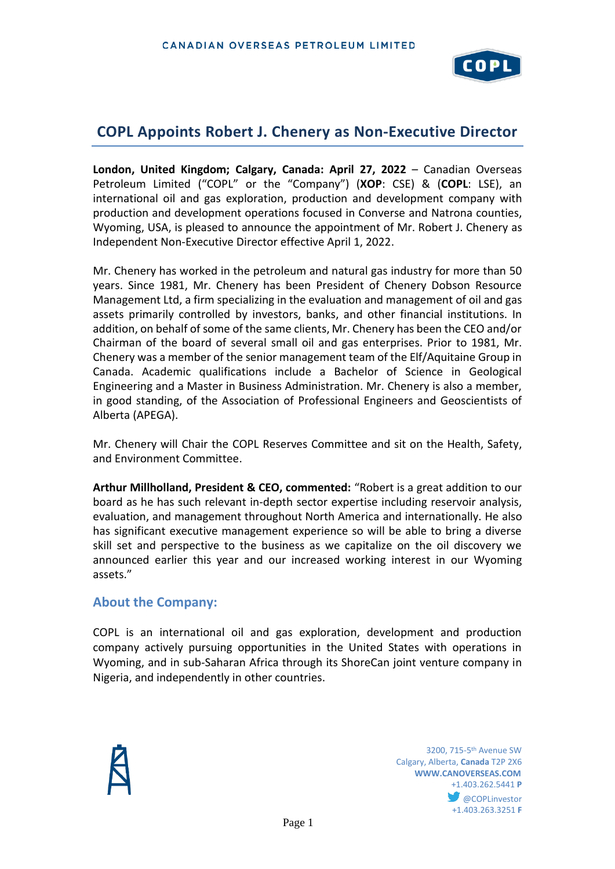

# **COPL Appoints Robert J. Chenery as Non-Executive Director**

**London, United Kingdom; Calgary, Canada: April 27, 2022** – Canadian Overseas Petroleum Limited ("COPL" or the "Company") (**XOP**: CSE) & (**COPL**: LSE), an international oil and gas exploration, production and development company with production and development operations focused in Converse and Natrona counties, Wyoming, USA, is pleased to announce the appointment of Mr. Robert J. Chenery as Independent Non-Executive Director effective April 1, 2022.

Mr. Chenery has worked in the petroleum and natural gas industry for more than 50 years. Since 1981, Mr. Chenery has been President of Chenery Dobson Resource Management Ltd, a firm specializing in the evaluation and management of oil and gas assets primarily controlled by investors, banks, and other financial institutions. In addition, on behalf of some of the same clients, Mr. Chenery has been the CEO and/or Chairman of the board of several small oil and gas enterprises. Prior to 1981, Mr. Chenery was a member of the senior management team of the Elf/Aquitaine Group in Canada. Academic qualifications include a Bachelor of Science in Geological Engineering and a Master in Business Administration. Mr. Chenery is also a member, in good standing, of the Association of Professional Engineers and Geoscientists of Alberta (APEGA).

Mr. Chenery will Chair the COPL Reserves Committee and sit on the Health, Safety, and Environment Committee.

**Arthur Millholland, President & CEO, commented:** "Robert is a great addition to our board as he has such relevant in-depth sector expertise including reservoir analysis, evaluation, and management throughout North America and internationally. He also has significant executive management experience so will be able to bring a diverse skill set and perspective to the business as we capitalize on the oil discovery we announced earlier this year and our increased working interest in our Wyoming assets."

#### **About the Company:**

COPL is an international oil and gas exploration, development and production company actively pursuing opportunities in the United States with operations in Wyoming, and in sub-Saharan Africa through its ShoreCan joint venture company in Nigeria, and independently in other countries.



 $\sim$  3200, 715-5<sup>th</sup> Avenue SW Calgary, Alberta, **Canada** T2P 2X6 **WWW.CANOVERSEAS.COM** +1.403.262.5441 **P @COPLinvestor** +1.403.263.3251 **F**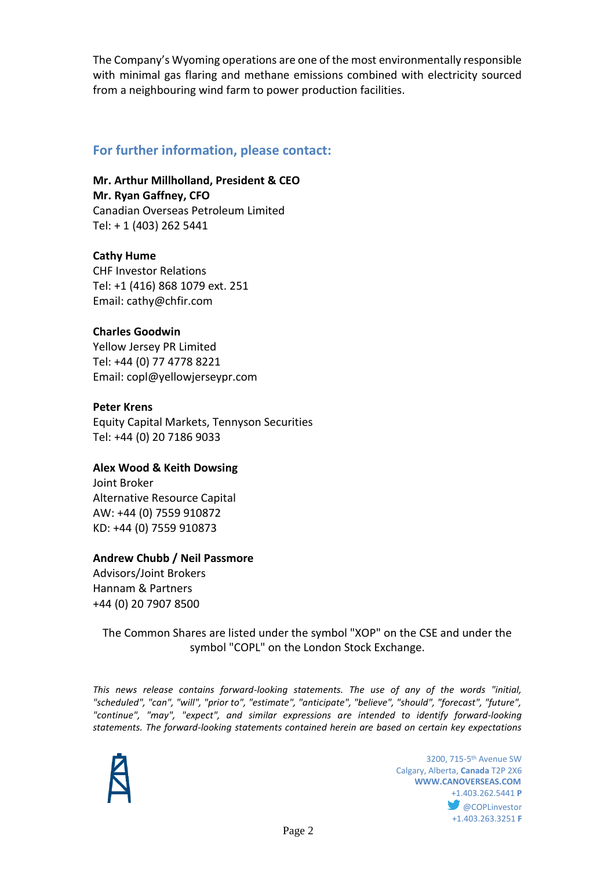The Company's Wyoming operations are one of the most environmentally responsible with minimal gas flaring and methane emissions combined with electricity sourced from a neighbouring wind farm to power production facilities.

# **For further information, please contact:**

**Mr. Arthur Millholland, President & CEO Mr. Ryan Gaffney, CFO** Canadian Overseas Petroleum Limited Tel: + 1 (403) 262 5441

**Cathy Hume** CHF Investor Relations Tel: +1 (416) 868 1079 ext. 251 Email: cathy@chfir.com

## **Charles Goodwin**

Yellow Jersey PR Limited Tel: +44 (0) 77 4778 8221 Email: copl@yellowjerseypr.com

#### **Peter Krens**

Equity Capital Markets, Tennyson Securities Tel: +44 (0) 20 7186 9033

#### **Alex Wood & Keith Dowsing**

Joint Broker Alternative Resource Capital AW: +44 (0) 7559 910872 KD: +44 (0) 7559 910873

#### **Andrew Chubb / Neil Passmore**

Advisors/Joint Brokers Hannam & Partners +44 (0) 20 7907 8500

## The Common Shares are listed under the symbol "XOP" on the CSE and under the symbol "COPL" on the London Stock Exchange.

*This news release contains forward-looking statements. The use of any of the words "initial, "scheduled", "can", "will", "prior to", "estimate", "anticipate", "believe", "should", "forecast", "future", "continue", "may", "expect", and similar expressions are intended to identify forward-looking statements. The forward-looking statements contained herein are based on certain key expectations* 



 $3200, 715-5$ <sup>th</sup> Avenue SW Calgary, Alberta, **Canada** T2P 2X6 **WWW.CANOVERSEAS.COM** +1.403.262.5441 **P @COPLinvestor** +1.403.263.3251 **F**